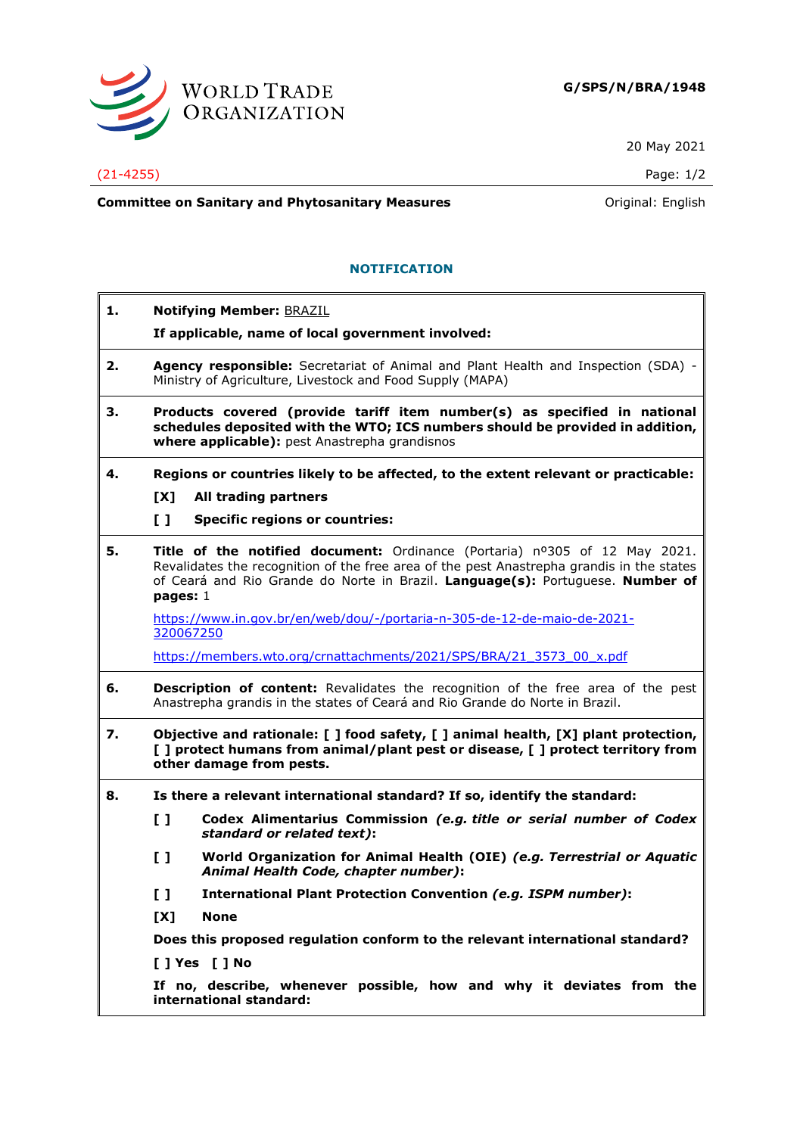

20 May 2021

(21-4255) Page: 1/2

**Committee on Sanitary and Phytosanitary Measures Committee on Sanitary and Phytosanitary Measures Committee on Sanitary and Phytosanitary Measures** 

## **NOTIFICATION**

| 1. | <b>Notifying Member: BRAZIL</b><br>If applicable, name of local government involved:                                                                                                                       |                                                                                                                                                                                                                                                           |  |
|----|------------------------------------------------------------------------------------------------------------------------------------------------------------------------------------------------------------|-----------------------------------------------------------------------------------------------------------------------------------------------------------------------------------------------------------------------------------------------------------|--|
| 2. |                                                                                                                                                                                                            | Agency responsible: Secretariat of Animal and Plant Health and Inspection (SDA) -<br>Ministry of Agriculture, Livestock and Food Supply (MAPA)                                                                                                            |  |
| З. | Products covered (provide tariff item number(s) as specified in national<br>schedules deposited with the WTO; ICS numbers should be provided in addition,<br>where applicable): pest Anastrepha grandisnos |                                                                                                                                                                                                                                                           |  |
| 4. |                                                                                                                                                                                                            | Regions or countries likely to be affected, to the extent relevant or practicable:                                                                                                                                                                        |  |
|    | [X]                                                                                                                                                                                                        | All trading partners                                                                                                                                                                                                                                      |  |
|    | $\mathbf{L}$                                                                                                                                                                                               | <b>Specific regions or countries:</b>                                                                                                                                                                                                                     |  |
| 5. | pages: $1$                                                                                                                                                                                                 | Title of the notified document: Ordinance (Portaria) nº305 of 12 May 2021.<br>Revalidates the recognition of the free area of the pest Anastrepha grandis in the states<br>of Ceará and Rio Grande do Norte in Brazil. Language(s): Portuguese. Number of |  |
|    | 320067250                                                                                                                                                                                                  | https://www.in.gov.br/en/web/dou/-/portaria-n-305-de-12-de-maio-de-2021-                                                                                                                                                                                  |  |
|    |                                                                                                                                                                                                            | https://members.wto.org/crnattachments/2021/SPS/BRA/21 3573 00 x.pdf                                                                                                                                                                                      |  |
| 6. | <b>Description of content:</b> Revalidates the recognition of the free area of the pest<br>Anastrepha grandis in the states of Ceará and Rio Grande do Norte in Brazil.                                    |                                                                                                                                                                                                                                                           |  |
| 7. | Objective and rationale: [ ] food safety, [ ] animal health, [X] plant protection,<br>[ ] protect humans from animal/plant pest or disease, [ ] protect territory from<br>other damage from pests.         |                                                                                                                                                                                                                                                           |  |
| 8. |                                                                                                                                                                                                            | Is there a relevant international standard? If so, identify the standard:                                                                                                                                                                                 |  |
|    | $\mathbf{L}$                                                                                                                                                                                               | Codex Alimentarius Commission (e.g. title or serial number of Codex<br>standard or related text):                                                                                                                                                         |  |
|    | [ ]                                                                                                                                                                                                        | World Organization for Animal Health (OIE) (e.g. Terrestrial or Aquatic<br>Animal Health Code, chapter number):                                                                                                                                           |  |
|    | [ ]                                                                                                                                                                                                        | International Plant Protection Convention (e.g. ISPM number):                                                                                                                                                                                             |  |
|    | [X]                                                                                                                                                                                                        | <b>None</b>                                                                                                                                                                                                                                               |  |
|    |                                                                                                                                                                                                            | Does this proposed regulation conform to the relevant international standard?<br>[ ] Yes [ ] No<br>If no, describe, whenever possible, how and why it deviates from the<br>international standard:                                                        |  |
|    |                                                                                                                                                                                                            |                                                                                                                                                                                                                                                           |  |
|    |                                                                                                                                                                                                            |                                                                                                                                                                                                                                                           |  |